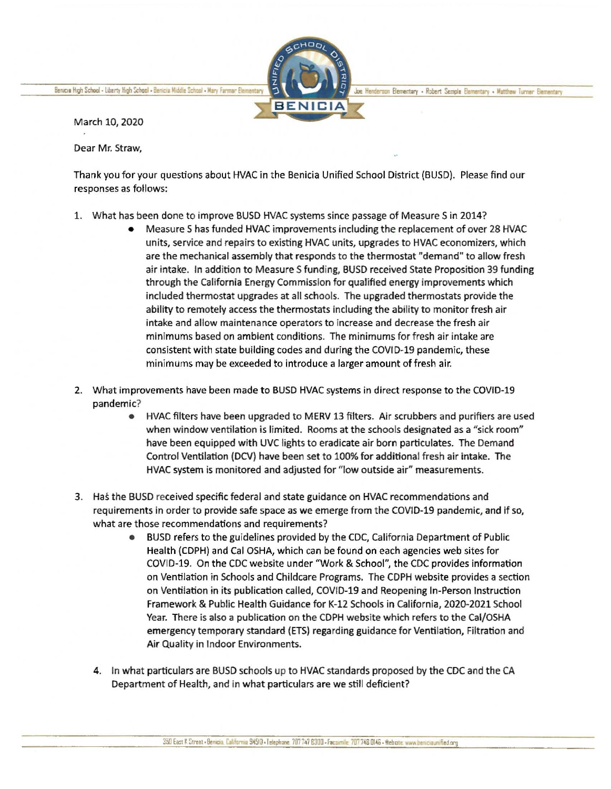Benicia High School - Liberty High School - Benicia Middle School - Mary Farmar Elementary



Joe Henderson Elementary - Robert Semple Elementary - Matthew Turner Elementary

March 10, 2020

Dear Mr. Straw,

Thank you for your questions about HVAC in the Benicia Unified School District (BUSD). Please find our responses as follows:

- 1. What has been done to improve BUSD HVAC systems since passage of Measure Sin 2014?
	- Measure Shas funded HVAC improvements including the replacement of over 28 HVAC units, service and repairs to existing HVAC units, upgrades to HVAC economizers, which are the mechanical assembly that responds to the thermostat "demand" to allow fresh air intake. In addition to Measure Sfunding, BUSD received State Proposition 39 funding through the California Energy Commission for qualified energy improvements which included thermostat upgrades at all schools. The upgraded thermostats provide the ability to remotely access the thermostats including the ability to monitor fresh air intake and allow maintenance operators to increase and decrease the fresh air minimums based on ambient conditions. The minimums for fresh air intake are consistent with state building codes and during the COVID-19 pandemic, these minimums may be exceeded to introduce a larger amount of fresh air.
- 2. What improvements have been made to BUSD HVAC systems in direct response to the CDVID-19 pandemic?
	- HVAC filters have been upgraded to MERV 13 filters. Air scrubbers and purifiers are used when window ventilation is limited. Rooms at the schools designated as a "sick room" have been equipped with UVC lights to eradicate air born particulates. The Demand Control Ventilation (DCV) have been set to 100% for additional fresh air intake. The HVAC system is monitored and adjusted for "low outside air" measurements.
- 3. Has the BUSD received specific federal and state guidance on HVAC recommendations and requirements in order to provide safe space as we emerge from the COVID-19 pandemic, and if so, what are those recommendations and requirements?
	- BUSD refers to the guidelines provided by the CDC, California Department of Public Health (CDPH) and Cal OSHA, which can be found on each agencies web sites for COVID-19. On the CDC website under "Work & School", the CDC provides information on Ventilation in Schools and Childcare Programs. The CDPH website provides a section on Ventilation in its publication called, COVID-19 and Reopening In-Person Instruction Framework & Public Health Guidance for K-12 Schools in California, 2020-2021 School Year. There is also a publication on the CDPH website which refers to the Cal/OSHA emergency temporary standard (ETS) regarding guidance for Ventilation, Filtration and Air Quality in Indoor Environments.
	- 4. In what particulars are BUSD schools up to HVAC standards proposed by the CDC and the CA Department of Health, and in what particulars are we still deficient?